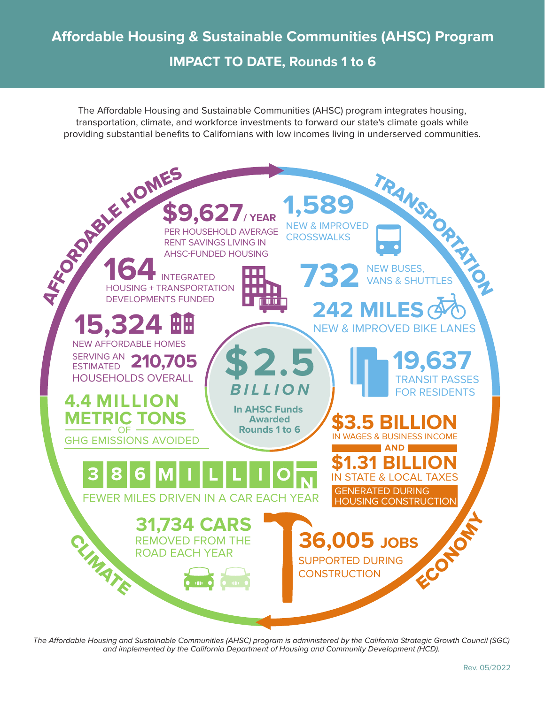The Affordable Housing and Sustainable Communities (AHSC) program integrates housing, transportation, climate, and workforce investments to forward our state's climate goals while providing substantial benefits to Californians with low incomes living in underserved communities.



The Affordable Housing and Sustainable Communities (AHSC) program is administered by the California Strategic Growth Council (SGC) and implemented by the California Department of Housing and Community Development (HCD).